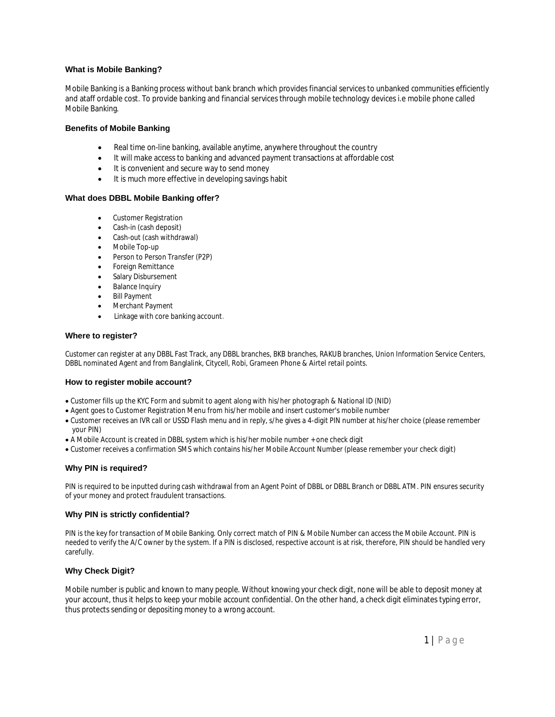## **What is Mobile Banking?**

Mobile Banking is a Banking process without bank branch which provides financial services to unbanked communities efficiently and ataff ordable cost. To provide banking and financial services through mobile technology devices i.e mobile phone called Mobile Banking.

#### **Benefits of Mobile Banking**

- Real time on-line banking, available anytime, anywhere throughout the country
- It will make access to banking and advanced payment transactions at affordable cost
- It is convenient and secure way to send money
- It is much more effective in developing savings habit

#### **What does DBBL Mobile Banking offer?**

- Customer Registration
- Cash-in (cash deposit)
- Cash-out (cash withdrawal)
- Mobile Top-up
- Person to Person Transfer (P2P)
- Foreign Remittance
- Salary Disbursement
- Balance Inquiry
- Bill Payment
- Merchant Payment
- Linkage with core banking account.

#### **Where to register?**

Customer can register at any DBBL Fast Track, any DBBL branches, BKB branches, RAKUB branches, Union Information Service Centers, DBBL nominated Agent and from Banglalink, Citycell, Robi, Grameen Phone & Airtel retail points.

#### **How to register mobile account?**

- Customer fills up the KYC Form and submit to agent along with his/her photograph & National ID (NID)
- Agent goes to Customer Registration Menu from his/her mobile and insert customer's mobile number
- Customer receives an IVR call or USSD Flash menu and in reply, s/he gives a 4-digit PIN number at his/her choice (please remember your PIN)
- A Mobile Account is created in DBBL system which is his/her mobile number + one check digit
- Customer receives a confirmation SMS which contains his/her Mobile Account Number (please remember your check digit)

#### **Why PIN is required?**

PIN is required to be inputted during cash withdrawal from an Agent Point of DBBL or DBBL Branch or DBBL ATM. PIN ensures security of your money and protect fraudulent transactions.

#### **Why PIN is strictly confidential?**

PIN is the key for transaction of Mobile Banking. Only correct match of PIN & Mobile Number can access the Mobile Account. PIN is needed to verify the A/C owner by the system. If a PIN is disclosed, respective account is at risk, therefore, PIN should be handled very carefully.

## **Why Check Digit?**

Mobile number is public and known to many people. Without knowing your check digit, none will be able to deposit money at your account, thus it helps to keep your mobile account confidential. On the other hand, a check digit eliminates typing error, thus protects sending or depositing money to a wrong account.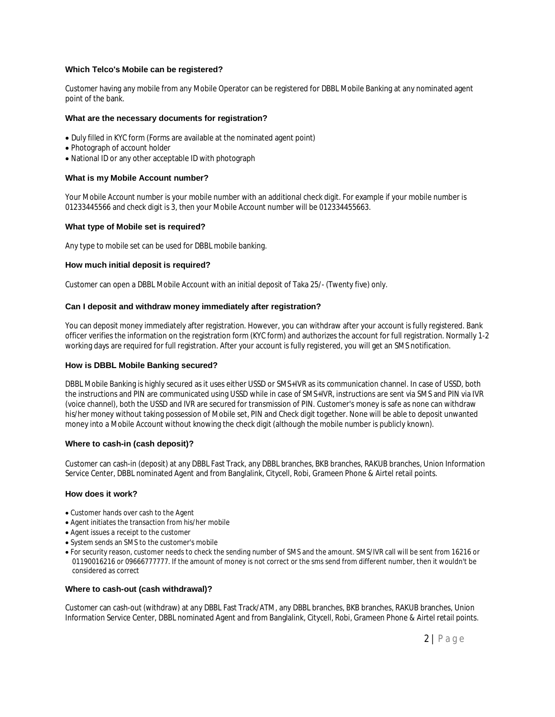## **Which Telco's Mobile can be registered?**

Customer having any mobile from any Mobile Operator can be registered for DBBL Mobile Banking at any nominated agent point of the bank.

## **What are the necessary documents for registration?**

- Duly filled in KYC form (Forms are available at the nominated agent point)
- Photograph of account holder
- National ID or any other acceptable ID with photograph

#### **What is my Mobile Account number?**

Your Mobile Account number is your mobile number with an additional check digit. For example if your mobile number is 01233445566 and check digit is 3, then your Mobile Account number will be 012334455663.

#### **What type of Mobile set is required?**

Any type to mobile set can be used for DBBL mobile banking.

#### **How much initial deposit is required?**

Customer can open a DBBL Mobile Account with an initial deposit of Taka 25/- (Twenty five) only.

#### **Can I deposit and withdraw money immediately after registration?**

You can deposit money immediately after registration. However, you can withdraw after your account is fully registered. Bank officer verifies the information on the registration form (KYC form) and authorizes the account for full registration. Normally 1-2 working days are required for full registration. After your account is fully registered, you will get an SMS notification.

## **How is DBBL Mobile Banking secured?**

DBBL Mobile Banking is highly secured as it uses either USSD or SMS+IVR as its communication channel. In case of USSD, both the instructions and PIN are communicated using USSD while in case of SMS+IVR, instructions are sent via SMS and PIN via IVR (voice channel), both the USSD and IVR are secured for transmission of PIN. Customer's money is safe as none can withdraw his/her money without taking possession of Mobile set, PIN and Check digit together. None will be able to deposit unwanted money into a Mobile Account without knowing the check digit (although the mobile number is publicly known).

#### **Where to cash-in (cash deposit)?**

Customer can cash-in (deposit) at any DBBL Fast Track, any DBBL branches, BKB branches, RAKUB branches, Union Information Service Center, DBBL nominated Agent and from Banglalink, Citycell, Robi, Grameen Phone & Airtel retail points.

#### **How does it work?**

- Customer hands over cash to the Agent
- Agent initiates the transaction from his/her mobile
- Agent issues a receipt to the customer
- System sends an SMS to the customer's mobile
- For security reason, customer needs to check the sending number of SMS and the amount. SMS/IVR call will be sent from 16216 or 01190016216 or 09666777777. If the amount of money is not correct or the sms send from different number, then it wouldn't be considered as correct

#### **Where to cash-out (cash withdrawal)?**

Customer can cash-out (withdraw) at any DBBL Fast Track/ATM, any DBBL branches, BKB branches, RAKUB branches, Union Information Service Center, DBBL nominated Agent and from Banglalink, Citycell, Robi, Grameen Phone & Airtel retail points.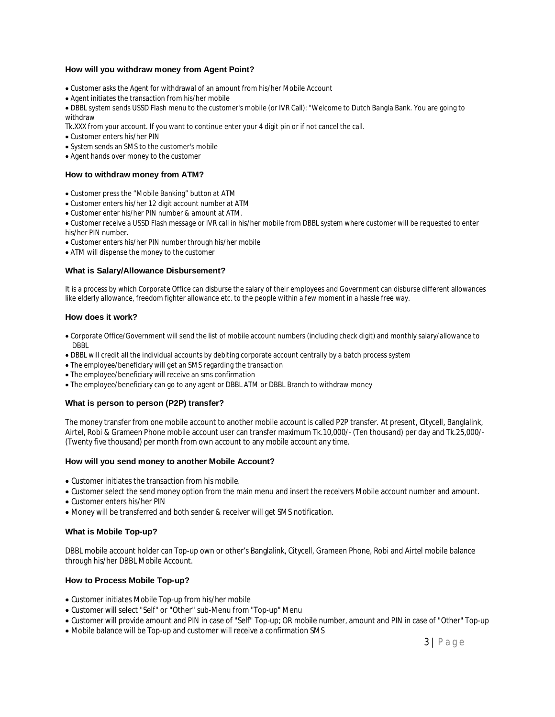## **How will you withdraw money from Agent Point?**

- Customer asks the Agent for withdrawal of an amount from his/her Mobile Account
- Agent initiates the transaction from his/her mobile

DBBL system sends USSD Flash menu to the customer's mobile (or IVR Call): "Welcome to Dutch Bangla Bank. You are going to withdraw

Tk.XXX from your account. If you want to continue enter your 4 digit pin or if not cancel the call.

- Customer enters his/her PIN
- System sends an SMS to the customer's mobile
- Agent hands over money to the customer

#### **How to withdraw money from ATM?**

- Customer press the "Mobile Banking" button at ATM
- Customer enters his/her 12 digit account number at ATM
- Customer enter his/her PIN number & amount at ATM.

Customer receive a USSD Flash message or IVR call in his/her mobile from DBBL system where customer will be requested to enter his/her PIN number.

- Customer enters his/her PIN number through his/her mobile
- ATM will dispense the money to the customer

#### **What is Salary/Allowance Disbursement?**

It is a process by which Corporate Office can disburse the salary of their employees and Government can disburse different allowances like elderly allowance, freedom fighter allowance etc. to the people within a few moment in a hassle free way.

## **How does it work?**

- Corporate Office/Government will send the list of mobile account numbers (including check digit) and monthly salary/allowance to DBBL
- DBBL will credit all the individual accounts by debiting corporate account centrally by a batch process system
- The employee/beneficiary will get an SMS regarding the transaction
- The employee/beneficiary will receive an sms confirmation
- The employee/beneficiary can go to any agent or DBBL ATM or DBBL Branch to withdraw money

## **What is person to person (P2P) transfer?**

The money transfer from one mobile account to another mobile account is called P2P transfer. At present, Citycell, Banglalink, Airtel, Robi & Grameen Phone mobile account user can transfer maximum Tk.10,000/- (Ten thousand) per day and Tk.25,000/- (Twenty five thousand) per month from own account to any mobile account any time.

## **How will you send money to another Mobile Account?**

- Customer initiates the transaction from his mobile.
- Customer select the send money option from the main menu and insert the receivers Mobile account number and amount.
- Customer enters his/her PIN
- Money will be transferred and both sender & receiver will get SMS notification.

## **What is Mobile Top-up?**

DBBL mobile account holder can Top-up own or other's Banglalink, Citycell, Grameen Phone, Robi and Airtel mobile balance through his/her DBBL Mobile Account.

## **How to Process Mobile Top-up?**

- Customer initiates Mobile Top-up from his/her mobile
- Customer will select "Self" or "Other" sub-Menu from "Top-up" Menu
- Customer will provide amount and PIN in case of "Self" Top-up; OR mobile number, amount and PIN in case of "Other" Top-up
- Mobile balance will be Top-up and customer will receive a confirmation SMS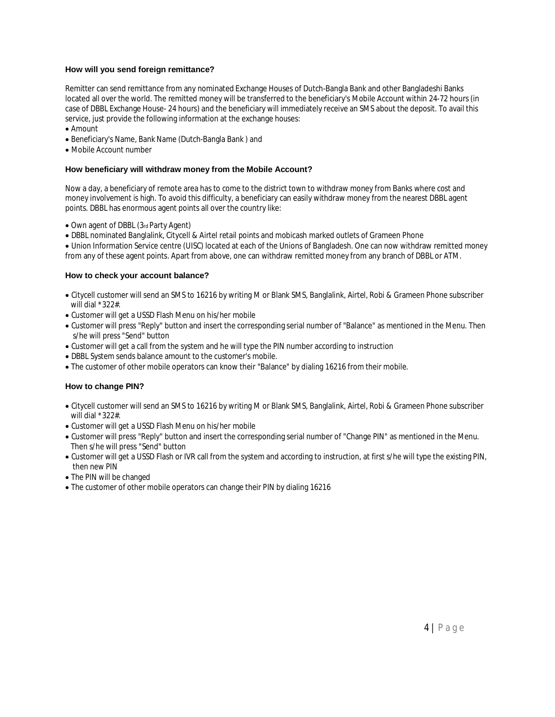## **How will you send foreign remittance?**

Remitter can send remittance from any nominated Exchange Houses of Dutch-Bangla Bank and other Bangladeshi Banks located all over the world. The remitted money will be transferred to the beneficiary's Mobile Account within 24-72 hours (in case of DBBL Exchange House- 24 hours) and the beneficiary will immediately receive an SMS about the deposit. To avail this service, just provide the following information at the exchange houses:

- Amount
- Beneficiary's Name, Bank Name (Dutch-Bangla Bank ) and
- Mobile Account number

## **How beneficiary will withdraw money from the Mobile Account?**

Now a day, a beneficiary of remote area has to come to the district town to withdraw money from Banks where cost and money involvement is high. To avoid this difficulty, a beneficiary can easily withdraw money from the nearest DBBL agent points. DBBL has enormous agent points all over the country like:

- Own agent of DBBL (3rd Party Agent)
- DBBL nominated Banglalink, Citycell & Airtel retail points and mobicash marked outlets of Grameen Phone

Union Information Service centre (UISC) located at each of the Unions of Bangladesh. One can now withdraw remitted money from any of these agent points. Apart from above, one can withdraw remitted money from any branch of DBBL or ATM.

## **How to check your account balance?**

- Citycell customer will send an SMS to 16216 by writing M or Blank SMS, Banglalink, Airtel, Robi & Grameen Phone subscriber will dial \*322#.
- Customer will get a USSD Flash Menu on his/her mobile
- Customer will press "Reply" button and insert the corresponding serial number of "Balance" as mentioned in the Menu. Then s/he will press "Send" button
- Customer will get a call from the system and he will type the PIN number according to instruction
- DBBL System sends balance amount to the customer's mobile.
- The customer of other mobile operators can know their "Balance" by dialing 16216 from their mobile.

## **How to change PIN?**

- Citycell customer will send an SMS to 16216 by writing M or Blank SMS, Banglalink, Airtel, Robi & Grameen Phone subscriber will dial \*322#.
- Customer will get a USSD Flash Menu on his/her mobile
- Customer will press "Reply" button and insert the corresponding serial number of "Change PIN" as mentioned in the Menu. Then s/he will press "Send" button
- Customer will get a USSD Flash or IVR call from the system and according to instruction, at first s/he will type the existing PIN, then new PIN
- The PIN will be changed
- The customer of other mobile operators can change their PIN by dialing 16216